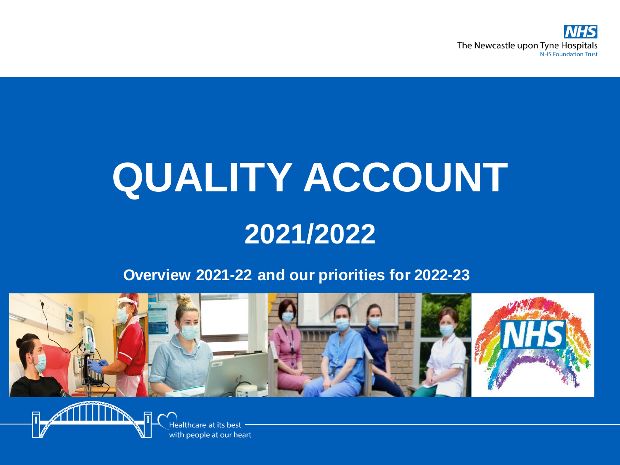

# **QUALITY ACCOUNT 2021/2022**

#### **Overview 2021-22 and our priorities for 2022-23**



Healthcare at its best with people at our heart

氘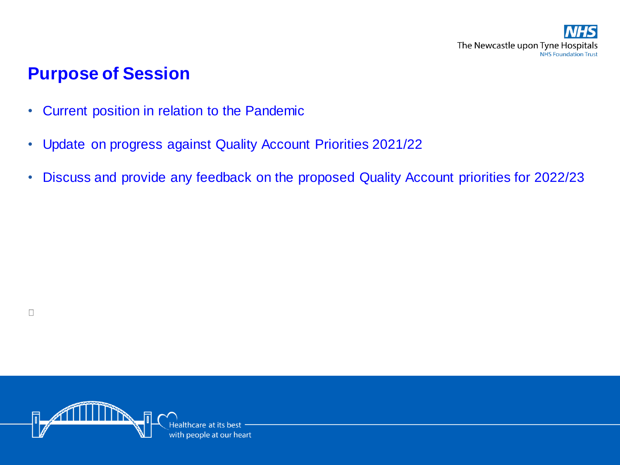

#### **Purpose of Session**

 $\Box$ 

- Current position in relation to the Pandemic
- Update on progress against Quality Account Priorities 2021/22
- Discuss and provide any feedback on the proposed Quality Account priorities for 2022/23

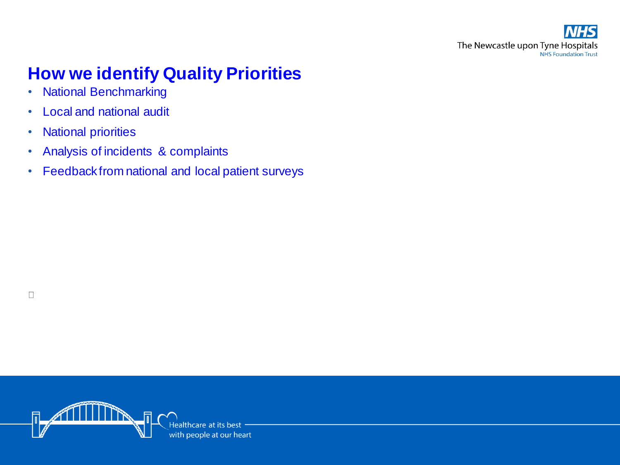## **How we identify Quality Priorities**

- National Benchmarking
- Local and national audit
- National priorities

 $\Box$ 

- Analysis of incidents & complaints
- Feedback from national and local patient surveys

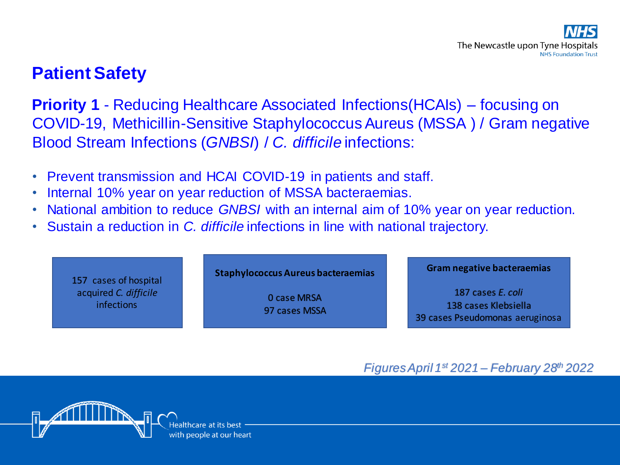## **Patient Safety**

**Priority 1** - Reducing Healthcare Associated Infections(HCAIs) – focusing on COVID-19, Methicillin-Sensitive Staphylococcus Aureus (MSSA ) / Gram negative Blood Stream Infections (*GNBSI*) / *C. difficile* infections:

- Prevent transmission and HCAI COVID-19 in patients and staff.
- Internal 10% year on year reduction of MSSA bacteraemias.
- National ambition to reduce *GNBSI* with an internal aim of 10% year on year reduction.
- Sustain a reduction in *C. difficile* infections in line with national trajectory.

157 cases of hospital acquired *C. difficile* infections

**Staphylococcus Aureus bacteraemias**

0 case MRSA 97 cases MSSA **Gram negative bacteraemias**

187 cases *E. coli* 138 cases Klebsiella 39 cases Pseudomonas aeruginosa

*Figures April 1st 2021 – February 28th 2022*

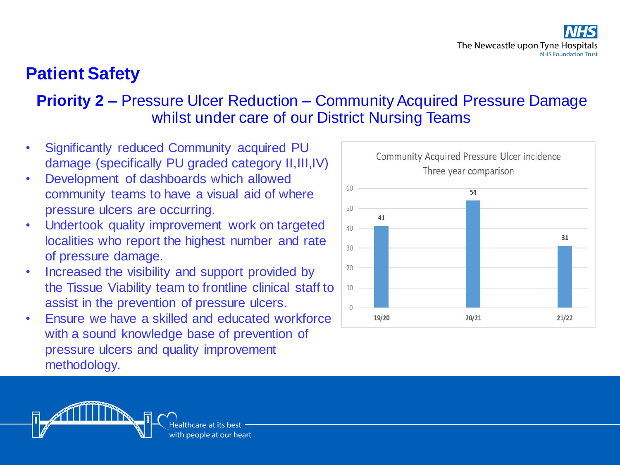## **Patient Safety**

#### **Priority 2 –** Pressure Ulcer Reduction – Community Acquired Pressure Damage whilst under care of our District Nursing Teams

- Significantly reduced Community acquired PU damage (specifically PU graded category II,III,IV)
- Development of dashboards which allowed community teams to have a visual aid of where pressure ulcers are occurring.
- Undertook quality improvement work on targeted localities who report the highest number and rate of pressure damage.
- Increased the visibility and support provided by the Tissue Viability team to frontline clinical staff to assist in the prevention of pressure ulcers.
- Ensure we have a skilled and educated workforce with a sound knowledge base of prevention of pressure ulcers and quality improvement methodology.



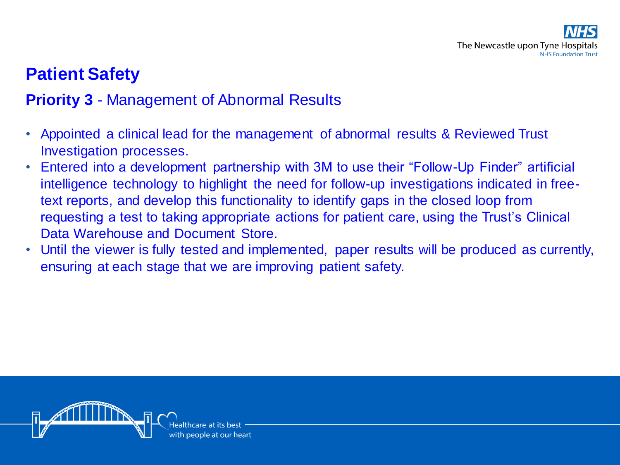## **Patient Safety**

#### **Priority 3** - Management of Abnormal Results

- Appointed a clinical lead for the management of abnormal results & Reviewed Trust Investigation processes.
- Entered into a development partnership with 3M to use their "Follow-Up Finder" artificial intelligence technology to highlight the need for follow-up investigations indicated in freetext reports, and develop this functionality to identify gaps in the closed loop from requesting a test to taking appropriate actions for patient care, using the Trust's Clinical Data Warehouse and Document Store.
- Until the viewer is fully tested and implemented, paper results will be produced as currently, ensuring at each stage that we are improving patient safety.

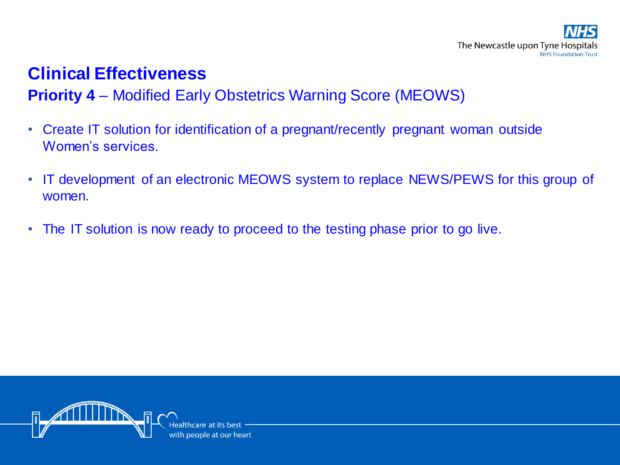## **Clinical Effectiveness**

#### **Priority 4** – Modified Early Obstetrics Warning Score (MEOWS)

- Create IT solution for identification of a pregnant/recently pregnant woman outside Women's services.
- IT development of an electronic MEOWS system to replace NEWS/PEWS for this group of women.
- The IT solution is now ready to proceed to the testing phase prior to go live.

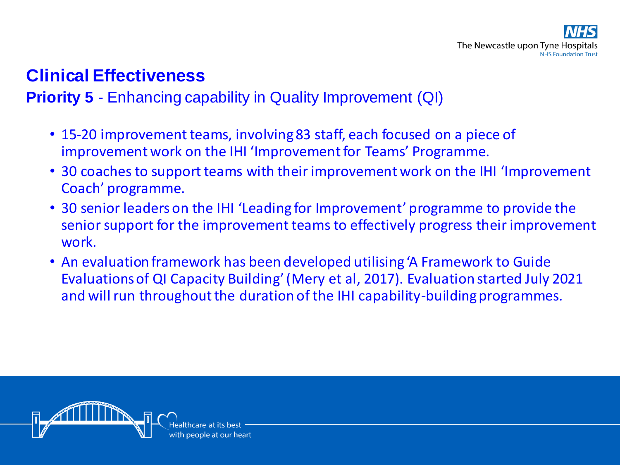## **Clinical Effectiveness**

#### **Priority 5** - Enhancing capability in Quality Improvement (QI)

- 15-20 improvement teams, involving 83 staff, each focused on a piece of improvement work on the IHI 'Improvement for Teams' Programme.
- 30 coaches to support teams with their improvement work on the IHI 'Improvement Coach' programme.
- 30 senior leaders on the IHI 'Leading for Improvement' programme to provide the senior support for the improvement teams to effectively progress their improvement work.
- An evaluation framework has been developed utilising 'A Framework to Guide Evaluations of QI Capacity Building' (Mery et al, 2017). Evaluation started July 2021 and will run throughout the duration of the IHI capability-building programmes.

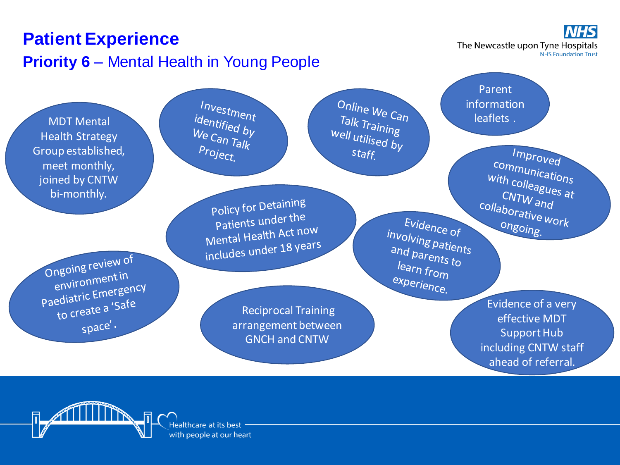

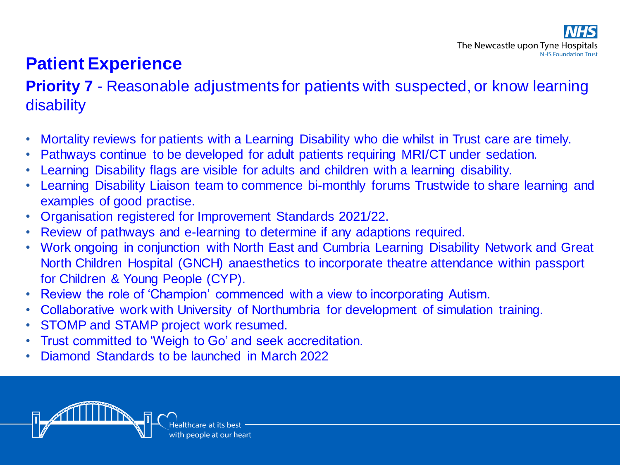## **Patient Experience**

#### **Priority 7** - Reasonable adjustments for patients with suspected, or know learning **disability**

- Mortality reviews for patients with a Learning Disability who die whilst in Trust care are timely.
- Pathways continue to be developed for adult patients requiring MRI/CT under sedation.
- Learning Disability flags are visible for adults and children with a learning disability.
- Learning Disability Liaison team to commence bi-monthly forums Trustwide to share learning and examples of good practise.
- Organisation registered for Improvement Standards 2021/22.
- Review of pathways and e-learning to determine if any adaptions required.
- Work ongoing in conjunction with North East and Cumbria Learning Disability Network and Great North Children Hospital (GNCH) anaesthetics to incorporate theatre attendance within passport for Children & Young People (CYP).
- Review the role of 'Champion' commenced with a view to incorporating Autism.
- Collaborative work with University of Northumbria for development of simulation training.
- STOMP and STAMP project work resumed.
- Trust committed to 'Weigh to Go' and seek accreditation.
- Diamond Standards to be launched in March 2022